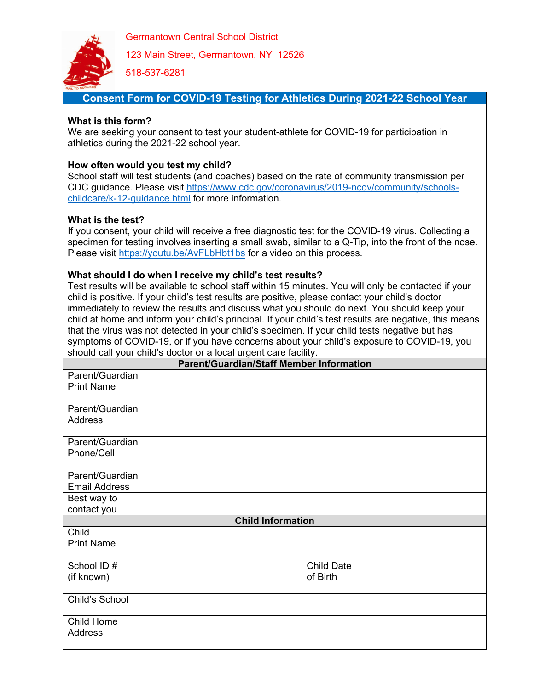

Germantown Central School District

123 Main Street, Germantown, NY 12526

518-537-6281

## **Consent Form for COVID-19 Testing for Athletics During 2021-22 School Year**

### **What is this form?**

We are seeking your consent to test your student-athlete for COVID-19 for participation in athletics during the 2021-22 school year.

#### **How often would you test my child?**

School staff will test students (and coaches) based on the rate of community transmission per CDC guidance. Please visit [https://www.cdc.gov/coronavirus/2019-ncov/community/schools](https://www.cdc.gov/coronavirus/2019-ncov/community/schools-childcare/k-12-guidance.html)[childcare/k-12-guidance.html](https://www.cdc.gov/coronavirus/2019-ncov/community/schools-childcare/k-12-guidance.html) for more information.

### **What is the test?**

If you consent, your child will receive a free diagnostic test for the COVID-19 virus. Collecting a specimen for testing involves inserting a small swab, similar to a Q-Tip, into the front of the nose. Please visit<https://youtu.be/AvFLbHbt1bs> for a video on this process.

### **What should I do when I receive my child's test results?**

Test results will be available to school staff within 15 minutes. You will only be contacted if your child is positive. If your child's test results are positive, please contact your child's doctor immediately to review the results and discuss what you should do next. You should keep your child at home and inform your child's principal. If your child's test results are negative, this means that the virus was not detected in your child's specimen. If your child tests negative but has symptoms of COVID-19, or if you have concerns about your child's exposure to COVID-19, you should call your child's doctor or a local urgent care facility.

| <b>Parent/Guardian/Staff Member Information</b> |  |                   |
|-------------------------------------------------|--|-------------------|
| Parent/Guardian<br><b>Print Name</b>            |  |                   |
|                                                 |  |                   |
| Parent/Guardian<br><b>Address</b>               |  |                   |
| Parent/Guardian<br>Phone/Cell                   |  |                   |
| Parent/Guardian<br><b>Email Address</b>         |  |                   |
| Best way to                                     |  |                   |
| contact you                                     |  |                   |
| <b>Child Information</b>                        |  |                   |
| Child<br><b>Print Name</b>                      |  |                   |
| School ID#                                      |  | <b>Child Date</b> |
| (if known)                                      |  | of Birth          |
| Child's School                                  |  |                   |
| Child Home<br><b>Address</b>                    |  |                   |